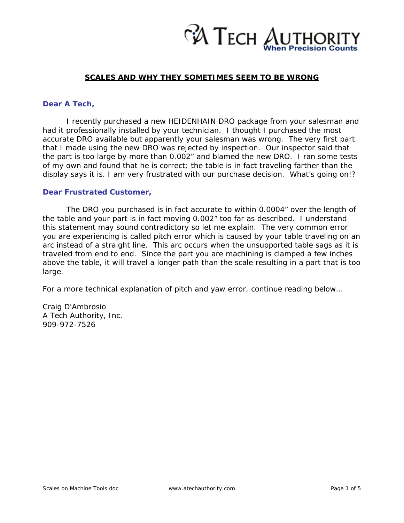

### **SCALES AND WHY THEY SOMETIMES SEEM TO BE WRONG**

#### **Dear A Tech,**

 I recently purchased a new HEIDENHAIN DRO package from your salesman and had it professionally installed by your technician. I thought I purchased the most accurate DRO available but apparently your salesman was wrong. The very first part that I made using the new DRO was rejected by inspection. Our inspector said that the part is too large by more than 0.002" and blamed the new DRO. I ran some tests of my own and found that he is correct; the table is in fact traveling farther than the display says it is. I am very frustrated with our purchase decision. What's going on!?

#### **Dear Frustrated Customer,**

 The DRO you purchased is in fact accurate to within 0.0004" over the length of the table and your part is in fact moving 0.002" too far as described. I understand this statement may sound contradictory so let me explain. The very common error you are experiencing is called pitch error which is caused by your table traveling on an arc instead of a straight line. This arc occurs when the unsupported table sags as it is traveled from end to end. Since the part you are machining is clamped a few inches above the table, it will travel a longer path than the scale resulting in a part that is too large.

For a more technical explanation of pitch and yaw error, continue reading below…

Craig D'Ambrosio A Tech Authority, Inc. 909-972-7526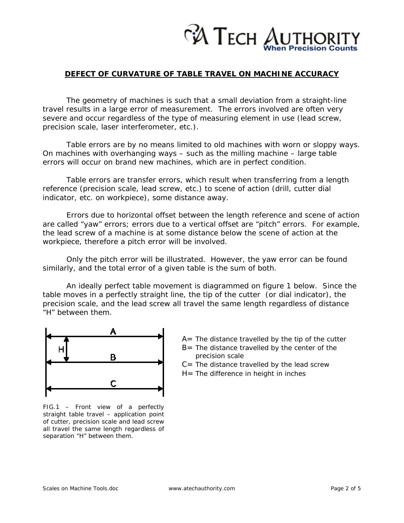

## **DEFECT OF CURVATURE OF TABLE TRAVEL ON MACHINE ACCURACY**

 The geometry of machines is such that a small deviation from a straight-line travel results in a large error of measurement. The errors involved are often very severe and occur regardless of the type of measuring element in use (lead screw, precision scale, laser interferometer, etc.).

 Table errors are by no means limited to old machines with worn or sloppy ways. On machines with overhanging ways – such as the milling machine – large table errors will occur on brand new machines, which are in perfect condition.

 Table errors are transfer errors, which result when transferring from a length reference (precision scale, lead screw, etc.) to scene of action (drill, cutter dial indicator, etc. on workpiece), some distance away.

 Errors due to horizontal offset between the length reference and scene of action are called "yaw" errors; errors due to a vertical offset are "pitch" errors. For example, the lead screw of a machine is at some distance below the scene of action at the workpiece, therefore a pitch error will be involved.

 Only the pitch error will be illustrated. However, the yaw error can be found similarly, and the total error of a given table is the sum of both.

 An ideally perfect table movement is diagrammed on figure 1 below. Since the table moves in a perfectly straight line, the tip of the cutter (or dial indicator), the precision scale, and the lead screw all travel the same length regardless of distance "H" between them.



*FIG.1 – Front view of a perfectly straight table travel – application point of cutter, precision scale and lead screw all travel the same length regardless of separation "H" between them.* 

- *A= The distance travelled by the tip of the cutter B= The distance travelled by the center of the precision scale*
- *C= The distance travelled by the lead screw*
- *H= The difference in height in inches*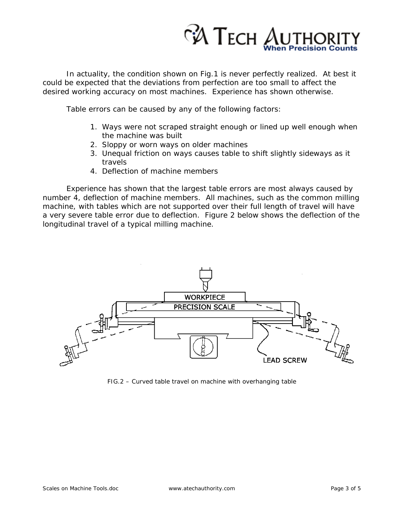

In actuality, the condition shown on Fig.1 is never perfectly realized. At best it could be expected that the deviations from perfection are too small to affect the desired working accuracy on most machines. Experience has shown otherwise.

Table errors can be caused by any of the following factors:

- 1. Ways were not scraped straight enough or lined up well enough when the machine was built
- 2. Sloppy or worn ways on older machines
- 3. Unequal friction on ways causes table to shift slightly sideways as it travels
- 4. Deflection of machine members

Experience has shown that the largest table errors are most always caused by number 4, deflection of machine members. All machines, such as the common milling machine, with tables which are not supported over their full length of travel will have a very severe table error due to deflection. Figure 2 below shows the deflection of the longitudinal travel of a typical milling machine.



*FIG.2 – Curved table travel on machine with overhanging table*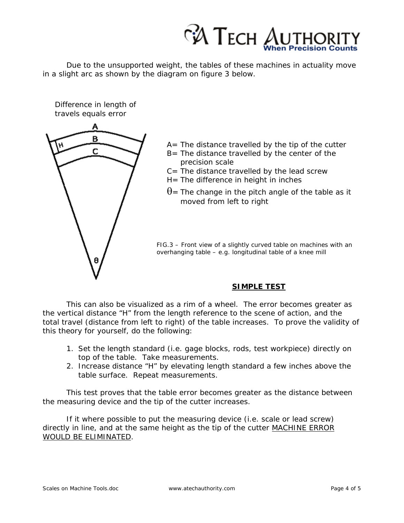

 Due to the unsupported weight, the tables of these machines in actuality move in a slight arc as shown by the diagram on figure 3 below.

travels equals error А B Ċ

Difference in length of

- $A=$  The distance travelled by the tip of the cutter
- B= The distance travelled by the center of the precision scale
- $C=$  The distance travelled by the lead screw
- $H=$  The difference in height in inches
- $\theta$ = The change in the pitch angle of the table as it moved from left to right

*FIG.3 – Front view of a slightly curved table on machines with an overhanging table – e.g. longitudinal table of a knee mill* 

# **SIMPLE TEST**

 This can also be visualized as a rim of a wheel. The error becomes greater as the vertical distance "H" from the length reference to the scene of action, and the total travel (distance from left to right) of the table increases. To prove the validity of this theory for yourself, do the following:

- 1. Set the length standard (i.e. gage blocks, rods, test workpiece) directly on top of the table. Take measurements.
- 2. Increase distance "H" by elevating length standard a few inches above the table surface. Repeat measurements.

This test proves that the table error becomes greater as the distance between the measuring device and the tip of the cutter increases.

 If it where possible to put the measuring device (i.e. scale or lead screw) directly in line, and at the same height as the tip of the cutter MACHINE ERROR WOULD BE ELIMINATED.